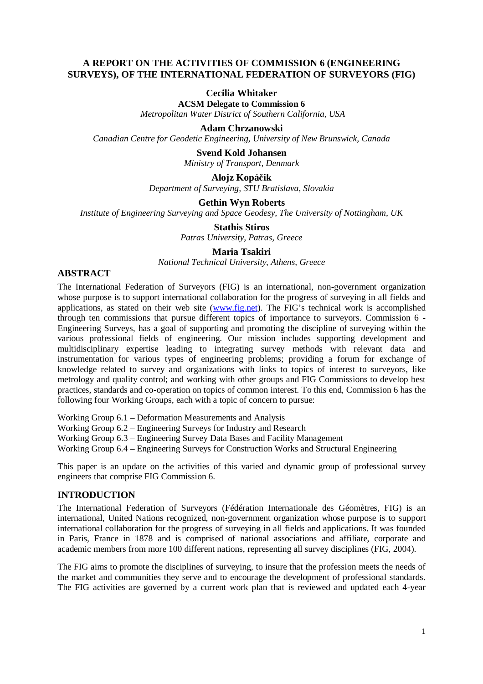### **A REPORT ON THE ACTIVITIES OF COMMISSION 6 (ENGINEERING SURVEYS), OF THE INTERNATIONAL FEDERATION OF SURVEYORS (FIG)**

### **Cecilia Whitaker**

**ACSM Delegate to Commission 6**  *Metropolitan Water District of Southern California, USA* 

**Adam Chrzanowski** 

*Canadian Centre for Geodetic Engineering, University of New Brunswick, Canada* 

**Svend Kold Johansen**  *Ministry of Transport, Denmark* 

### **Alojz Kopá**č**ik**

*Department of Surveying, STU Bratislava, Slovakia* 

# **Gethin Wyn Roberts**

*Institute of Engineering Surveying and Space Geodesy, The University of Nottingham, UK* 

**Stathis Stiros**  *Patras University, Patras, Greece* 

**Maria Tsakiri** 

*National Technical University, Athens, Greece* 

### **ABSTRACT**

The International Federation of Surveyors (FIG) is an international, non-government organization whose purpose is to support international collaboration for the progress of surveying in all fields and applications, as stated on their web site (www.fig.net). The FIG's technical work is accomplished through ten commissions that pursue different topics of importance to surveyors. Commission 6 - Engineering Surveys, has a goal of supporting and promoting the discipline of surveying within the various professional fields of engineering. Our mission includes supporting development and multidisciplinary expertise leading to integrating survey methods with relevant data and instrumentation for various types of engineering problems; providing a forum for exchange of knowledge related to survey and organizations with links to topics of interest to surveyors, like metrology and quality control; and working with other groups and FIG Commissions to develop best practices, standards and co-operation on topics of common interest. To this end, Commission 6 has the following four Working Groups, each with a topic of concern to pursue:

Working Group 6.1 – Deformation Measurements and Analysis

Working Group 6.2 – Engineering Surveys for Industry and Research

Working Group 6.3 – Engineering Survey Data Bases and Facility Management

Working Group 6.4 – Engineering Surveys for Construction Works and Structural Engineering

This paper is an update on the activities of this varied and dynamic group of professional survey engineers that comprise FIG Commission 6.

#### **INTRODUCTION**

The International Federation of Surveyors (Fédération Internationale des Géomètres, FIG) is an international, United Nations recognized, non-government organization whose purpose is to support international collaboration for the progress of surveying in all fields and applications. It was founded in Paris, France in 1878 and is comprised of national associations and affiliate, corporate and academic members from more 100 different nations, representing all survey disciplines (FIG, 2004).

The FIG aims to promote the disciplines of surveying, to insure that the profession meets the needs of the market and communities they serve and to encourage the development of professional standards. The FIG activities are governed by a current work plan that is reviewed and updated each 4-year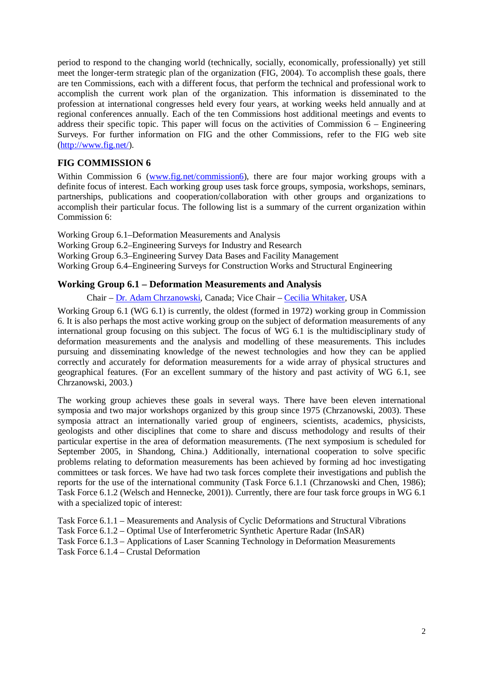period to respond to the changing world (technically, socially, economically, professionally) yet still meet the longer-term strategic plan of the organization (FIG, 2004). To accomplish these goals, there are ten Commissions, each with a different focus, that perform the technical and professional work to accomplish the current work plan of the organization. This information is disseminated to the profession at international congresses held every four years, at working weeks held annually and at regional conferences annually. Each of the ten Commissions host additional meetings and events to address their specific topic. This paper will focus on the activities of Commission  $6 -$  Engineering Surveys. For further information on FIG and the other Commissions, refer to the FIG web site (http://www.fig.net/).

# **FIG COMMISSION 6**

Within Commission 6 (www.fig.net/commission6), there are four major working groups with a definite focus of interest. Each working group uses task force groups, symposia, workshops, seminars, partnerships, publications and cooperation/collaboration with other groups and organizations to accomplish their particular focus. The following list is a summary of the current organization within Commission 6:

Working Group 6.1–Deformation Measurements and Analysis Working Group 6.2–Engineering Surveys for Industry and Research Working Group 6.3–Engineering Survey Data Bases and Facility Management Working Group 6.4–Engineering Surveys for Construction Works and Structural Engineering

### **Working Group 6.1 – Deformation Measurements and Analysis**

Chair – Dr. Adam Chrzanowski, Canada; Vice Chair – Cecilia Whitaker, USA

Working Group 6.1 (WG 6.1) is currently, the oldest (formed in 1972) working group in Commission 6. It is also perhaps the most active working group on the subject of deformation measurements of any international group focusing on this subject. The focus of WG 6.1 is the multidisciplinary study of deformation measurements and the analysis and modelling of these measurements. This includes pursuing and disseminating knowledge of the newest technologies and how they can be applied correctly and accurately for deformation measurements for a wide array of physical structures and geographical features. (For an excellent summary of the history and past activity of WG 6.1, see Chrzanowski, 2003.)

The working group achieves these goals in several ways. There have been eleven international symposia and two major workshops organized by this group since 1975 (Chrzanowski, 2003). These symposia attract an internationally varied group of engineers, scientists, academics, physicists, geologists and other disciplines that come to share and discuss methodology and results of their particular expertise in the area of deformation measurements. (The next symposium is scheduled for September 2005, in Shandong, China.) Additionally, international cooperation to solve specific problems relating to deformation measurements has been achieved by forming ad hoc investigating committees or task forces. We have had two task forces complete their investigations and publish the reports for the use of the international community (Task Force 6.1.1 (Chrzanowski and Chen, 1986); Task Force 6.1.2 (Welsch and Hennecke, 2001)). Currently, there are four task force groups in WG 6.1 with a specialized topic of interest:

Task Force 6.1.1 – Measurements and Analysis of Cyclic Deformations and Structural Vibrations Task Force 6.1.2 – Optimal Use of Interferometric Synthetic Aperture Radar (InSAR) Task Force 6.1.3 – Applications of Laser Scanning Technology in Deformation Measurements Task Force 6.1.4 – Crustal Deformation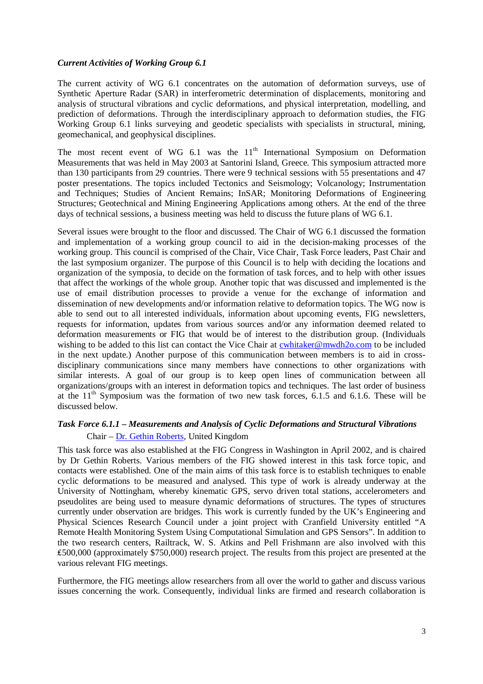#### *Current Activities of Working Group 6.1*

The current activity of WG 6.1 concentrates on the automation of deformation surveys, use of Synthetic Aperture Radar (SAR) in interferometric determination of displacements, monitoring and analysis of structural vibrations and cyclic deformations, and physical interpretation, modelling, and prediction of deformations. Through the interdisciplinary approach to deformation studies, the FIG Working Group 6.1 links surveying and geodetic specialists with specialists in structural, mining, geomechanical, and geophysical disciplines.

The most recent event of WG  $6.1$  was the  $11<sup>th</sup>$  International Symposium on Deformation Measurements that was held in May 2003 at Santorini Island, Greece. This symposium attracted more than 130 participants from 29 countries. There were 9 technical sessions with 55 presentations and 47 poster presentations. The topics included Tectonics and Seismology; Volcanology; Instrumentation and Techniques; Studies of Ancient Remains; InSAR; Monitoring Deformations of Engineering Structures; Geotechnical and Mining Engineering Applications among others. At the end of the three days of technical sessions, a business meeting was held to discuss the future plans of WG 6.1.

Several issues were brought to the floor and discussed. The Chair of WG 6.1 discussed the formation and implementation of a working group council to aid in the decision-making processes of the working group. This council is comprised of the Chair, Vice Chair, Task Force leaders, Past Chair and the last symposium organizer. The purpose of this Council is to help with deciding the locations and organization of the symposia, to decide on the formation of task forces, and to help with other issues that affect the workings of the whole group. Another topic that was discussed and implemented is the use of email distribution processes to provide a venue for the exchange of information and dissemination of new developments and/or information relative to deformation topics. The WG now is able to send out to all interested individuals, information about upcoming events, FIG newsletters, requests for information, updates from various sources and/or any information deemed related to deformation measurements or FIG that would be of interest to the distribution group. (Individuals wishing to be added to this list can contact the Vice Chair at cwhitaker@mwdh2o.com to be included in the next update.) Another purpose of this communication between members is to aid in crossdisciplinary communications since many members have connections to other organizations with similar interests. A goal of our group is to keep open lines of communication between all organizations/groups with an interest in deformation topics and techniques. The last order of business at the  $11<sup>th</sup>$  Symposium was the formation of two new task forces, 6.1.5 and 6.1.6. These will be discussed below.

## *Task Force 6.1.1 – Measurements and Analysis of Cyclic Deformations and Structural Vibrations*  Chair – Dr. Gethin Roberts, United Kingdom

This task force was also established at the FIG Congress in Washington in April 2002, and is chaired by Dr Gethin Roberts. Various members of the FIG showed interest in this task force topic, and contacts were established. One of the main aims of this task force is to establish techniques to enable cyclic deformations to be measured and analysed. This type of work is already underway at the University of Nottingham, whereby kinematic GPS, servo driven total stations, accelerometers and pseudolites are being used to measure dynamic deformations of structures. The types of structures currently under observation are bridges. This work is currently funded by the UK's Engineering and Physical Sciences Research Council under a joint project with Cranfield University entitled "A Remote Health Monitoring System Using Computational Simulation and GPS Sensors". In addition to the two research centers, Railtrack, W. S. Atkins and Pell Frishmann are also involved with this ₤500,000 (approximately \$750,000) research project. The results from this project are presented at the various relevant FIG meetings.

Furthermore, the FIG meetings allow researchers from all over the world to gather and discuss various issues concerning the work. Consequently, individual links are firmed and research collaboration is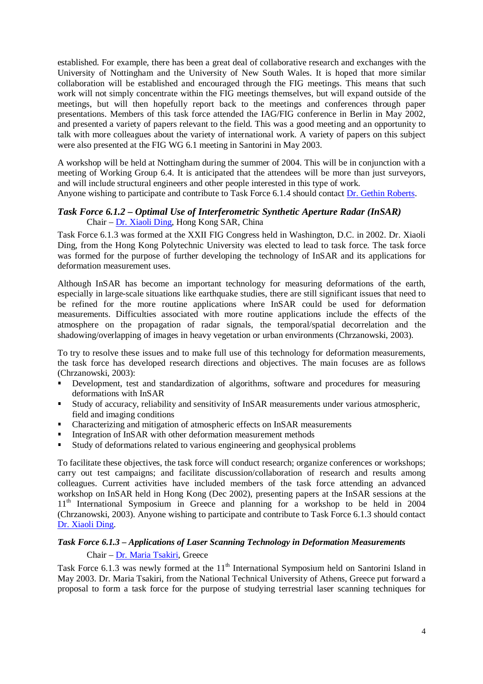established. For example, there has been a great deal of collaborative research and exchanges with the University of Nottingham and the University of New South Wales. It is hoped that more similar collaboration will be established and encouraged through the FIG meetings. This means that such work will not simply concentrate within the FIG meetings themselves, but will expand outside of the meetings, but will then hopefully report back to the meetings and conferences through paper presentations. Members of this task force attended the IAG/FIG conference in Berlin in May 2002, and presented a variety of papers relevant to the field. This was a good meeting and an opportunity to talk with more colleagues about the variety of international work. A variety of papers on this subject were also presented at the FIG WG 6.1 meeting in Santorini in May 2003.

A workshop will be held at Nottingham during the summer of 2004. This will be in conjunction with a meeting of Working Group 6.4. It is anticipated that the attendees will be more than just surveyors, and will include structural engineers and other people interested in this type of work. Anyone wishing to participate and contribute to Task Force 6.1.4 should contact Dr. Gethin Roberts.

### *Task Force 6.1.2 – Optimal Use of Interferometric Synthetic Aperture Radar (InSAR)*  Chair – Dr. Xiaoli Ding, Hong Kong SAR, China

Task Force 6.1.3 was formed at the XXII FIG Congress held in Washington, D.C. in 2002. Dr. Xiaoli Ding, from the Hong Kong Polytechnic University was elected to lead to task force. The task force was formed for the purpose of further developing the technology of InSAR and its applications for deformation measurement uses.

Although InSAR has become an important technology for measuring deformations of the earth, especially in large-scale situations like earthquake studies, there are still significant issues that need to be refined for the more routine applications where InSAR could be used for deformation measurements. Difficulties associated with more routine applications include the effects of the atmosphere on the propagation of radar signals, the temporal/spatial decorrelation and the shadowing/overlapping of images in heavy vegetation or urban environments (Chrzanowski, 2003).

To try to resolve these issues and to make full use of this technology for deformation measurements, the task force has developed research directions and objectives. The main focuses are as follows (Chrzanowski, 2003):

- Development, test and standardization of algorithms, software and procedures for measuring deformations with InSAR
- Study of accuracy, reliability and sensitivity of InSAR measurements under various atmospheric, field and imaging conditions
- Characterizing and mitigation of atmospheric effects on InSAR measurements
- 
- Integration of InSAR with other deformation measurement methods<br>In Study of deformations related to various engineering and geophysical Study of deformations related to various engineering and geophysical problems<br>To feelitate these objectives, the test force will conduct research: organize conferent

To facilitate these objectives, the task force will conduct research; organize conferences or workshops; carry out test campaigns; and facilitate discussion/collaboration of research and results among colleagues. Current activities have included members of the task force attending an advanced workshop on InSAR held in Hong Kong (Dec 2002), presenting papers at the InSAR sessions at the 11th International Symposium in Greece and planning for a workshop to be held in 2004 (Chrzanowski, 2003). Anyone wishing to participate and contribute to Task Force 6.1.3 should contact Dr. Xiaoli Ding.

## *Task Force 6.1.3 – Applications of Laser Scanning Technology in Deformation Measurements*  Chair – Dr. Maria Tsakiri, Greece

Task Force 6.1.3 was newly formed at the 11<sup>th</sup> International Symposium held on Santorini Island in May 2003. Dr. Maria Tsakiri, from the National Technical University of Athens, Greece put forward a proposal to form a task force for the purpose of studying terrestrial laser scanning techniques for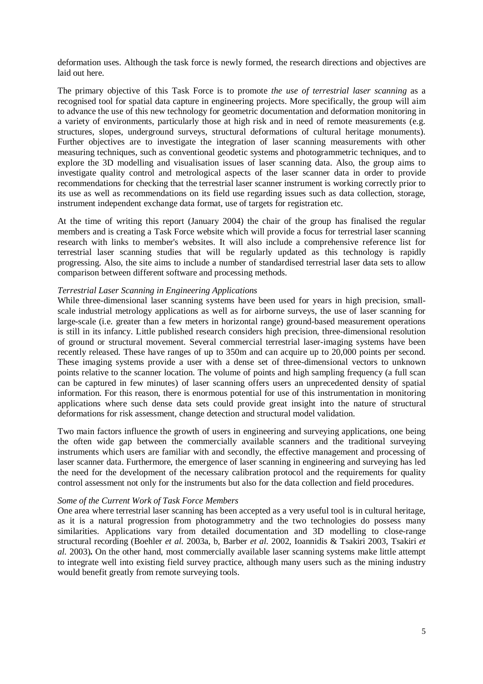deformation uses. Although the task force is newly formed, the research directions and objectives are laid out here.

The primary objective of this Task Force is to promote *the use of terrestrial laser scanning* as a recognised tool for spatial data capture in engineering projects. More specifically, the group will aim to advance the use of this new technology for geometric documentation and deformation monitoring in a variety of environments, particularly those at high risk and in need of remote measurements (e.g. structures, slopes, underground surveys, structural deformations of cultural heritage monuments). Further objectives are to investigate the integration of laser scanning measurements with other measuring techniques, such as conventional geodetic systems and photogrammetric techniques, and to explore the 3D modelling and visualisation issues of laser scanning data. Also, the group aims to investigate quality control and metrological aspects of the laser scanner data in order to provide recommendations for checking that the terrestrial laser scanner instrument is working correctly prior to its use as well as recommendations on its field use regarding issues such as data collection, storage, instrument independent exchange data format, use of targets for registration etc.

At the time of writing this report (January 2004) the chair of the group has finalised the regular members and is creating a Task Force website which will provide a focus for terrestrial laser scanning research with links to member's websites. It will also include a comprehensive reference list for terrestrial laser scanning studies that will be regularly updated as this technology is rapidly progressing. Also, the site aims to include a number of standardised terrestrial laser data sets to allow comparison between different software and processing methods.

#### *Terrestrial Laser Scanning in Engineering Applications*

While three-dimensional laser scanning systems have been used for years in high precision, smallscale industrial metrology applications as well as for airborne surveys, the use of laser scanning for large-scale (i.e. greater than a few meters in horizontal range) ground-based measurement operations is still in its infancy. Little published research considers high precision, three-dimensional resolution of ground or structural movement. Several commercial terrestrial laser-imaging systems have been recently released. These have ranges of up to 350m and can acquire up to 20,000 points per second. These imaging systems provide a user with a dense set of three-dimensional vectors to unknown points relative to the scanner location. The volume of points and high sampling frequency (a full scan can be captured in few minutes) of laser scanning offers users an unprecedented density of spatial information. For this reason, there is enormous potential for use of this instrumentation in monitoring applications where such dense data sets could provide great insight into the nature of structural deformations for risk assessment, change detection and structural model validation.

Two main factors influence the growth of users in engineering and surveying applications, one being the often wide gap between the commercially available scanners and the traditional surveying instruments which users are familiar with and secondly, the effective management and processing of laser scanner data. Furthermore, the emergence of laser scanning in engineering and surveying has led the need for the development of the necessary calibration protocol and the requirements for quality control assessment not only for the instruments but also for the data collection and field procedures.

#### *Some of the Current Work of Task Force Members*

One area where terrestrial laser scanning has been accepted as a very useful tool is in cultural heritage, as it is a natural progression from photogrammetry and the two technologies do possess many similarities. Applications vary from detailed documentation and 3D modelling to close-range structural recording (Boehler *et al.* 2003a, b, Barber *et al.* 2002, Ioannidis & Tsakiri 2003, Tsakiri *et al.* 2003)**.** On the other hand, most commercially available laser scanning systems make little attempt to integrate well into existing field survey practice, although many users such as the mining industry would benefit greatly from remote surveying tools.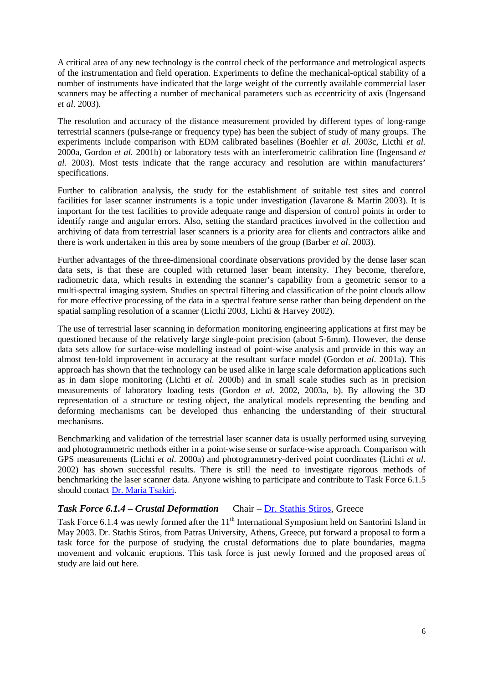A critical area of any new technology is the control check of the performance and metrological aspects of the instrumentation and field operation. Experiments to define the mechanical-optical stability of a number of instruments have indicated that the large weight of the currently available commercial laser scanners may be affecting a number of mechanical parameters such as eccentricity of axis (Ingensand *et al*. 2003).

The resolution and accuracy of the distance measurement provided by different types of long-range terrestrial scanners (pulse-range or frequency type) has been the subject of study of many groups. The experiments include comparison with EDM calibrated baselines (Boehler *et al.* 2003c, Licthi *et al.* 2000a, Gordon *et al.* 2001b) or laboratory tests with an interferometric calibration line (Ingensand *et al.* 2003). Most tests indicate that the range accuracy and resolution are within manufacturers' specifications.

Further to calibration analysis, the study for the establishment of suitable test sites and control facilities for laser scanner instruments is a topic under investigation (Iavarone & Martin 2003). It is important for the test facilities to provide adequate range and dispersion of control points in order to identify range and angular errors. Also, setting the standard practices involved in the collection and archiving of data from terrestrial laser scanners is a priority area for clients and contractors alike and there is work undertaken in this area by some members of the group (Barber *et al*. 2003).

Further advantages of the three-dimensional coordinate observations provided by the dense laser scan data sets, is that these are coupled with returned laser beam intensity. They become, therefore, radiometric data, which results in extending the scanner's capability from a geometric sensor to a multi-spectral imaging system. Studies on spectral filtering and classification of the point clouds allow for more effective processing of the data in a spectral feature sense rather than being dependent on the spatial sampling resolution of a scanner (Licthi 2003, Lichti & Harvey 2002).

The use of terrestrial laser scanning in deformation monitoring engineering applications at first may be questioned because of the relatively large single-point precision (about 5-6mm). However, the dense data sets allow for surface-wise modelling instead of point-wise analysis and provide in this way an almost ten-fold improvement in accuracy at the resultant surface model (Gordon *et al*. 2001a). This approach has shown that the technology can be used alike in large scale deformation applications such as in dam slope monitoring (Lichti *et al.* 2000b) and in small scale studies such as in precision measurements of laboratory loading tests (Gordon *et al*. 2002, 2003a, b). By allowing the 3D representation of a structure or testing object, the analytical models representing the bending and deforming mechanisms can be developed thus enhancing the understanding of their structural mechanisms.

Benchmarking and validation of the terrestrial laser scanner data is usually performed using surveying and photogrammetric methods either in a point-wise sense or surface-wise approach. Comparison with GPS measurements (Lichti *et al*. 2000a) and photogrammetry-derived point coordinates (Lichti *et al*. 2002) has shown successful results. There is still the need to investigate rigorous methods of benchmarking the laser scanner data. Anyone wishing to participate and contribute to Task Force 6.1.5 should contact Dr. Maria Tsakiri.

## Task Force 6.1.4 – Crustal Deformation Chair – Dr. Stathis Stiros, Greece

Task Force 6.1.4 was newly formed after the 11<sup>th</sup> International Symposium held on Santorini Island in May 2003. Dr. Stathis Stiros, from Patras University, Athens, Greece, put forward a proposal to form a task force for the purpose of studying the crustal deformations due to plate boundaries, magma movement and volcanic eruptions. This task force is just newly formed and the proposed areas of study are laid out here.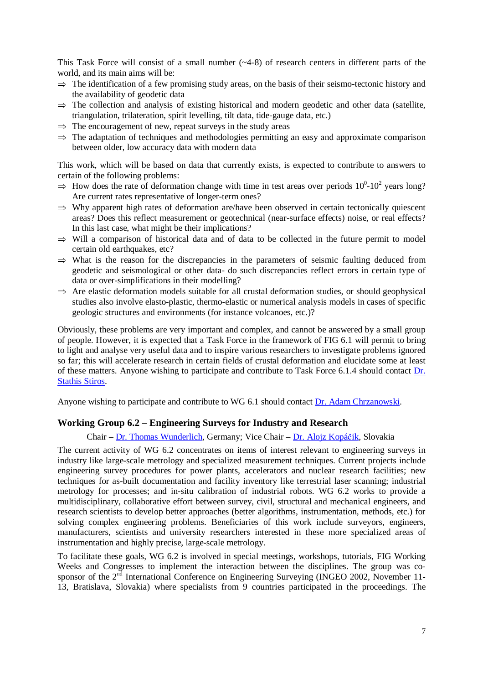This Task Force will consist of a small number (~4-8) of research centers in different parts of the world, and its main aims will be:

- $\Rightarrow$  The identification of a few promising study areas, on the basis of their seismo-tectonic history and the availability of geodetic data
- $\Rightarrow$  The collection and analysis of existing historical and modern geodetic and other data (satellite, triangulation, trilateration, spirit levelling, tilt data, tide-gauge data, etc.)
- $\Rightarrow$  The encouragement of new, repeat surveys in the study areas
- $\Rightarrow$  The adaptation of techniques and methodologies permitting an easy and approximate comparison between older, low accuracy data with modern data

This work, which will be based on data that currently exists, is expected to contribute to answers to certain of the following problems:

- $\Rightarrow$  How does the rate of deformation change with time in test areas over periods  $10^0$ - $10^2$  years long?<br>Are current rates representative of longer-term ones? Are current rates representative of longer-term ones?
- $\Rightarrow$  Why apparent high rates of deformation are/have been observed in certain tectonically quiescent areas? Does this reflect measurement or geotechnical (near-surface effects) noise, or real effects? In this last case, what might be their implications?
- $\Rightarrow$  Will a comparison of historical data and of data to be collected in the future permit to model certain old earthquakes, etc?
- $\Rightarrow$  What is the reason for the discrepancies in the parameters of seismic faulting deduced from geodetic and seismological or other data- do such discrepancies reflect errors in certain type of data or over-simplifications in their modelling?
- $\Rightarrow$  Are elastic deformation models suitable for all crustal deformation studies, or should geophysical studies also involve elasto-plastic, thermo-elastic or numerical analysis models in cases of specific geologic structures and environments (for instance volcanoes, etc.)?

Obviously, these problems are very important and complex, and cannot be answered by a small group of people. However, it is expected that a Task Force in the framework of FIG 6.1 will permit to bring to light and analyse very useful data and to inspire various researchers to investigate problems ignored so far; this will accelerate research in certain fields of crustal deformation and elucidate some at least of these matters. Anyone wishing to participate and contribute to Task Force 6.1.4 should contact Dr. Stathis Stiros.

Anyone wishing to participate and contribute to WG 6.1 should contact Dr. Adam Chrzanowski.

### **Working Group 6.2 – Engineering Surveys for Industry and Research**

#### Chair – Dr. Thomas Wunderlich, Germany; Vice Chair – Dr. Alojz Kopáčik, Slovakia

The current activity of WG 6.2 concentrates on items of interest relevant to engineering surveys in industry like large-scale metrology and specialized measurement techniques. Current projects include engineering survey procedures for power plants, accelerators and nuclear research facilities; new techniques for as-built documentation and facility inventory like terrestrial laser scanning; industrial metrology for processes; and in-situ calibration of industrial robots. WG 6.2 works to provide a multidisciplinary, collaborative effort between survey, civil, structural and mechanical engineers, and research scientists to develop better approaches (better algorithms, instrumentation, methods, etc.) for solving complex engineering problems. Beneficiaries of this work include surveyors, engineers, manufacturers, scientists and university researchers interested in these more specialized areas of instrumentation and highly precise, large-scale metrology.

To facilitate these goals, WG 6.2 is involved in special meetings, workshops, tutorials, FIG Working Weeks and Congresses to implement the interaction between the disciplines. The group was cosponsor of the 2<sup>nd</sup> International Conference on Engineering Surveying (INGEO 2002, November 11-13, Bratislava, Slovakia) where specialists from 9 countries participated in the proceedings. The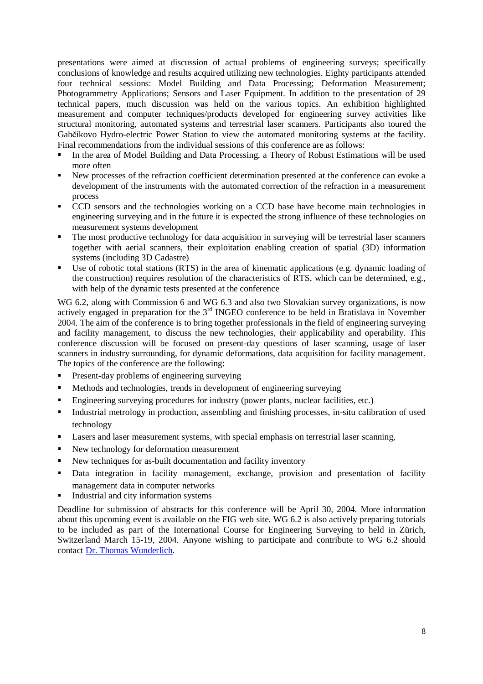presentations were aimed at discussion of actual problems of engineering surveys; specifically conclusions of knowledge and results acquired utilizing new technologies. Eighty participants attended four technical sessions: Model Building and Data Processing; Deformation Measurement; Photogrammetry Applications; Sensors and Laser Equipment. In addition to the presentation of 29 technical papers, much discussion was held on the various topics. An exhibition highlighted measurement and computer techniques/products developed for engineering survey activities like structural monitoring, automated systems and terrestrial laser scanners. Participants also toured the Gabčíkovo Hydro-electric Power Station to view the automated monitoring systems at the facility. Final recommendations from the individual sessions of this conference are as follows:

- In the area of Model Building and Data Processing, a Theory of Robust Estimations will be used<br>more often<br>New processes of the refraction coefficient determination presented at the conference can evoke a more often
- New processes of the refraction coefficient determination presented at the conference can evoke a development of the instruments with the automated correction of the refraction in a measurement process
- CCD sensors and the technologies working on a CCD base have become main technologies in engineering surveying and in the future it is expected the strong influence of these technologies on measurement systems development
- The most productive technology for data acquisition in surveying will be terrestrial laser scanners together with aerial scanners, their exploitation enabling creation of spatial (3D) information systems (including 3D Cadastre)
- Use of robotic total stations (RTS) in the area of kinematic applications (e.g. dynamic loading of the construction) requires resolution of the characteristics of RTS, which can be determined, e.g., with help of the dynamic tests presented at the conference

WG 6.2, along with Commission 6 and WG 6.3 and also two Slovakian survey organizations, is now actively engaged in preparation for the 3<sup>rd</sup> INGEO conference to be held in Bratislava in November 2004. The aim of the conference is to bring together professionals in the field of engineering surveying and facility management, to discuss the new technologies, their applicability and operability. This conference discussion will be focused on present-day questions of laser scanning, usage of laser scanners in industry surrounding, for dynamic deformations, data acquisition for facility management. The topics of the conference are the following:

- 
- Present-day problems of engineering surveying<br>• Methods and technologies, trends in development of engineering surveying
- **Engineering surveying procedures for industry (power plants, nuclear facilities, etc.)**
- Engineering surveying procedures for industry (power plants, nuclear facilities, etc.)<br>■ Industrial metrology in production, assembling and finishing processes, in-situ calib Industrial metrology in production, assembling and finishing processes, in-situ calibration of used technology technology
- Lasers and laser measurement systems, with special emphasis on terrestrial laser scanning,<br>■ New technology for deformation measurement
- 
- New techniques for as-built documentation and facility inventory
- New techniques for as-built documentation and facility inventory<br>Data integration in facility management, exchange, provision Data integration in facility management, exchange, provision and presentation of facility management data in computer networks
- 

Industrial and city information systems<br>Deadline for submission of abstracts for this conference will be April 30, 2004. More information about this upcoming event is available on the FIG web site. WG 6.2 is also actively preparing tutorials to be included as part of the International Course for Engineering Surveying to held in Zürich, Switzerland March 15-19, 2004. Anyone wishing to participate and contribute to WG 6.2 should contact Dr. Thomas Wunderlich.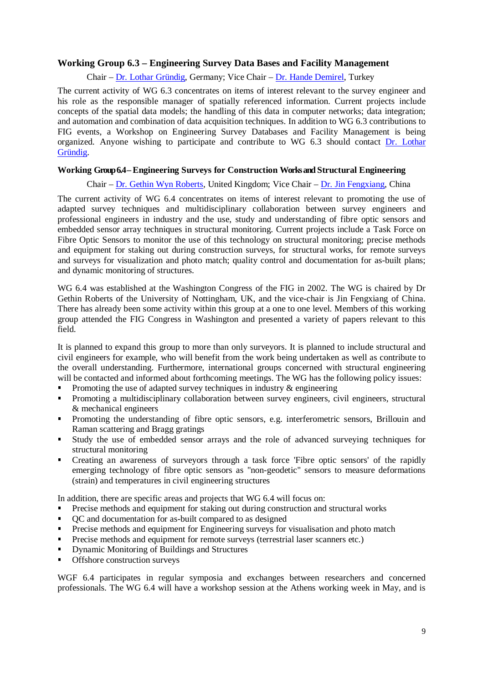## **Working Group 6.3 – Engineering Survey Data Bases and Facility Management**

Chair – Dr. Lothar Gründig, Germany; Vice Chair – Dr. Hande Demirel, Turkey

The current activity of WG 6.3 concentrates on items of interest relevant to the survey engineer and his role as the responsible manager of spatially referenced information. Current projects include concepts of the spatial data models; the handling of this data in computer networks; data integration; and automation and combination of data acquisition techniques. In addition to WG 6.3 contributions to FIG events, a Workshop on Engineering Survey Databases and Facility Management is being organized. Anyone wishing to participate and contribute to WG 6.3 should contact Dr. Lothar Gründig.

#### **Working Group 6.4 – Engineering Surveys for Construction Works and Structural Engineering**

Chair – Dr. Gethin Wyn Roberts, United Kingdom; Vice Chair – Dr. Jin Fengxiang, China

The current activity of WG 6.4 concentrates on items of interest relevant to promoting the use of adapted survey techniques and multidisciplinary collaboration between survey engineers and professional engineers in industry and the use, study and understanding of fibre optic sensors and embedded sensor array techniques in structural monitoring. Current projects include a Task Force on Fibre Optic Sensors to monitor the use of this technology on structural monitoring; precise methods and equipment for staking out during construction surveys, for structural works, for remote surveys and surveys for visualization and photo match; quality control and documentation for as-built plans; and dynamic monitoring of structures.

WG 6.4 was established at the Washington Congress of the FIG in 2002. The WG is chaired by Dr Gethin Roberts of the University of Nottingham, UK, and the vice-chair is Jin Fengxiang of China. There has already been some activity within this group at a one to one level. Members of this working group attended the FIG Congress in Washington and presented a variety of papers relevant to this field.

It is planned to expand this group to more than only surveyors. It is planned to include structural and civil engineers for example, who will benefit from the work being undertaken as well as contribute to the overall understanding. Furthermore, international groups concerned with structural engineering will be contacted and informed about forthcoming meetings. The WG has the following policy issues:

- 
- Promoting the use of adapted survey techniques in industry & engineering<br>Promoting a multidisciplinary collaboration between survey engineers, ci Promoting a multidisciplinary collaboration between survey engineers, civil engineers, structural  $\&$  mechanical engineers & mechanical engineers
- Promoting the understanding of fibre optic sensors, e.g. interferometric sensors, Brillouin and Raman scattering and Bragg gratings
- Study the use of embedded sensor arrays and the role of advanced surveying techniques for structural monitoring<br>• Creating an awareness of surveyors through a task force 'Fibre optic sensors' of the rapidly structural monitoring
- Creating an awareness of surveyors through a task force 'Fibre optic sensors' of the rapidly emerging technology of fibre optic sensors as "non-geodetic" sensors to measure deformations (strain) and temperatures in civil engineering structures

In addition, there are specific areas and projects that WG 6.4 will focus on:

- Precise methods and equipment for staking out during construction and structural works QC and documentation for as-built compared to as designed
- 
- QC and documentation for as-built compared to as designed<br>• Precise methods and equipment for Engineering surveys for Precise methods and equipment for Engineering surveys for visualisation and photo match<br>Precise methods and equipment for remote surveys (terrestrial laser scanners etc.)
- Precise methods and equipment for remote surveys (terrestrial laser scanners etc.)<br>Dynamic Monitoring of Buildings and Structures<br>Offshore construction surveys
- Dynamic Monitoring of Buildings and Structures
- Offshore construction surveys

WGF 6.4 participates in regular symposia and exchanges between researchers and concerned professionals. The WG 6.4 will have a workshop session at the Athens working week in May, and is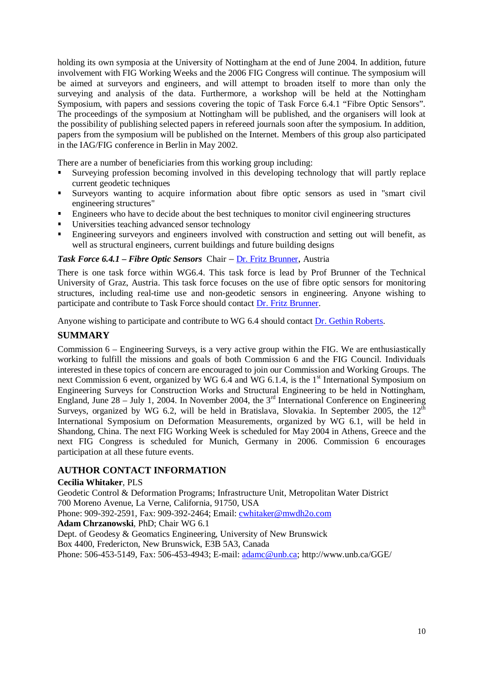holding its own symposia at the University of Nottingham at the end of June 2004. In addition, future involvement with FIG Working Weeks and the 2006 FIG Congress will continue. The symposium will be aimed at surveyors and engineers, and will attempt to broaden itself to more than only the surveying and analysis of the data. Furthermore, a workshop will be held at the Nottingham Symposium, with papers and sessions covering the topic of Task Force 6.4.1 "Fibre Optic Sensors". The proceedings of the symposium at Nottingham will be published, and the organisers will look at the possibility of publishing selected papers in refereed journals soon after the symposium. In addition, papers from the symposium will be published on the Internet. Members of this group also participated in the IAG/FIG conference in Berlin in May 2002.

There are a number of beneficiaries from this working group including:

- Surveying profession becoming involved in this developing technology that will partly replace current geodetic techniques
- Surveyors wanting to acquire information about fibre optic sensors as used in "smart civil engineering structures"
- Engineers who have to decide about the best techniques to monitor civil engineering structures<br>■ Universities teaching advanced sensor technology<br>■ Engineering survevors and engineers involved with construction and sett
- Universities teaching advanced sensor technology
- Engineering surveyors and engineers involved with construction and setting out will benefit, as well as structural engineers, current buildings and future building designs

#### *Task Force 6.4.1 – Fibre Optic Sensors* Chair – Dr. Fritz Brunner, Austria

There is one task force within WG6.4. This task force is lead by Prof Brunner of the Technical University of Graz, Austria. This task force focuses on the use of fibre optic sensors for monitoring structures, including real-time use and non-geodetic sensors in engineering. Anyone wishing to participate and contribute to Task Force should contact Dr. Fritz Brunner.

Anyone wishing to participate and contribute to WG 6.4 should contact Dr. Gethin Roberts.

### **SUMMARY**

Commission 6 – Engineering Surveys, is a very active group within the FIG. We are enthusiastically working to fulfill the missions and goals of both Commission 6 and the FIG Council. Individuals interested in these topics of concern are encouraged to join our Commission and Working Groups. The next Commission 6 event, organized by WG 6.4 and WG 6.1.4, is the 1<sup>st</sup> International Symposium on Engineering Surveys for Construction Works and Structural Engineering to be held in Nottingham, England, June  $28 -$  July 1, 2004. In November 2004, the  $3<sup>rd</sup>$  International Conference on Engineering Surveys, organized by WG 6.2, will be held in Bratislava, Slovakia. In September 2005, the  $12<sup>th</sup>$ International Symposium on Deformation Measurements, organized by WG 6.1, will be held in Shandong, China. The next FIG Working Week is scheduled for May 2004 in Athens, Greece and the next FIG Congress is scheduled for Munich, Germany in 2006. Commission 6 encourages participation at all these future events.

### **AUTHOR CONTACT INFORMATION**

#### **Cecilia Whitaker**, PLS

Geodetic Control & Deformation Programs; Infrastructure Unit, Metropolitan Water District 700 Moreno Avenue, La Verne, California, 91750, USA Phone: 909-392-2591, Fax: 909-392-2464; Email: cwhitaker@mwdh2o.com

**Adam Chrzanowski**, PhD; Chair WG 6.1

Dept. of Geodesy & Geomatics Engineering, University of New Brunswick

Box 4400, Fredericton, New Brunswick, E3B 5A3, Canada

Phone: 506-453-5149, Fax: 506-453-4943; E-mail: adamc@unb.ca; http://www.unb.ca/GGE/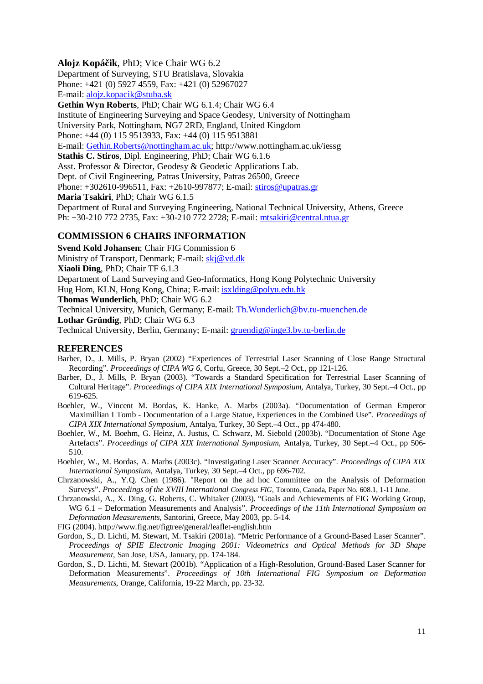#### **Alojz Kopá**č**ik**, PhD; Vice Chair WG 6.2

Department of Surveying, STU Bratislava, Slovakia Phone: +421 (0) 5927 4559, Fax: +421 (0) 52967027 E-mail: alojz.kopacik@stuba.sk

**Gethin Wyn Roberts**, PhD; Chair WG 6.1.4; Chair WG 6.4 Institute of Engineering Surveying and Space Geodesy, University of Nottingham University Park, Nottingham, NG7 2RD, England, United Kingdom Phone: +44 (0) 115 9513933, Fax: +44 (0) 115 9513881 E-mail: Gethin.Roberts@nottingham.ac.uk; http://www.nottingham.ac.uk/iessg **Stathis C. Stiros**, Dipl. Engineering, PhD; Chair WG 6.1.6

Asst. Professor & Director, Geodesy & Geodetic Applications Lab. Dept. of Civil Engineering, Patras University, Patras 26500, Greece

Phone: +302610-996511, Fax: +2610-997877; E-mail: stiros@upatras.gr

**Maria Tsakiri**, PhD; Chair WG 6.1.5

Department of Rural and Surveying Engineering, National Technical University, Athens, Greece Ph: +30-210 772 2735, Fax: +30-210 772 2728; E-mail: mtsakiri@central.ntua.gr

### **COMMISSION 6 CHAIRS INFORMATION**

**Svend Kold Johansen**; Chair FIG Commission 6 Ministry of Transport, Denmark; E-mail: skj@vd.dk **Xiaoli Ding**, PhD; Chair TF 6.1.3 Department of Land Surveying and Geo-Informatics, Hong Kong Polytechnic University Hug Hom, KLN, Hong Kong, China; E-mail: isxlding@polyu.edu.hk **Thomas Wunderlich**, PhD; Chair WG 6.2 Technical University, Munich, Germany; E-mail: Th.Wunderlich@bv.tu-muenchen.de **Lothar Gründig**, PhD; Chair WG 6.3 Technical University, Berlin, Germany; E-mail: gruendig@inge3.bv.tu-berlin.de

#### **REFERENCES**

- Barber, D., J. Mills, P. Bryan (2002) "Experiences of Terrestrial Laser Scanning of Close Range Structural Recording". *Proceedings of CIPA WG 6*, Corfu, Greece, 30 Sept.–2 Oct., pp 121-126.
- Barber, D., J. Mills, P. Bryan (2003). "Towards a Standard Specification for Terrestrial Laser Scanning of Cultural Heritage". *Proceedings of CIPA XIX International Symposium*, Antalya, Turkey, 30 Sept.–4 Oct., pp 619-625.
- Boehler, W., Vincent M. Bordas, K. Hanke, A. Marbs (2003a). "Documentation of German Emperor Maximillian I Tomb - Documentation of a Large Statue, Experiences in the Combined Use". *Proceedings of CIPA XIX International Symposium*, Antalya, Turkey, 30 Sept.–4 Oct., pp 474-480.
- Boehler, W., M. Boehm, G. Heinz, A. Justus, C. Schwarz, M. Siebold (2003b). "Documentation of Stone Age Artefacts". *Proceedings of CIPA XIX International Symposium*, Antalya, Turkey, 30 Sept.–4 Oct., pp 506- 510.

Boehler, W., M. Bordas, A. Marbs (2003c). "Investigating Laser Scanner Accuracy". *Proceedings of CIPA XIX International Symposium*, Antalya, Turkey, 30 Sept.–4 Oct., pp 696-702.

- Chrzanowski, A., Y.Q. Chen (1986). "Report on the ad hoc Committee on the Analysis of Deformation Surveys". *Proceedings of the XVIII International Congress FIG*, Toronto, Canada, Paper No. 608.1, 1-11 June.
- Chrzanowski, A., X. Ding, G. Roberts, C. Whitaker (2003). "Goals and Achievements of FIG Working Group, WG 6.1 – Deformation Measurements and Analysis". *Proceedings of the 11th International Symposium on Deformation Measurements*, Santorini, Greece, May 2003, pp. 5-14.

FIG (2004). http://www.fig.net/figtree/general/leaflet-english.htm

- Gordon, S., D. Lichti, M. Stewart, M. Tsakiri (2001a). "Metric Performance of a Ground-Based Laser Scanner". *Proceedings of SPIE Electronic Imaging 2001: Videometrics and Optical Methods for 3D Shape Measurement*, San Jose, USA, January, pp. 174-184.
- Gordon, S., D. Lichti, M. Stewart (2001b). "Application of a High-Resolution, Ground-Based Laser Scanner for Deformation Measurements". *Proceedings of 10th International FIG Symposium on Deformation Measurements*, Orange, California, 19-22 March, pp. 23-32.